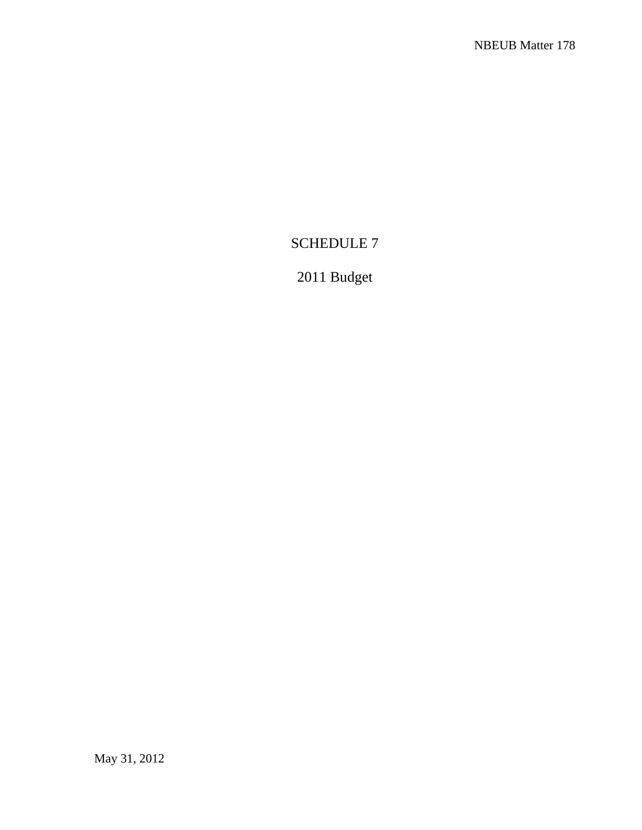# SCHEDULE 7

# 2011 Budget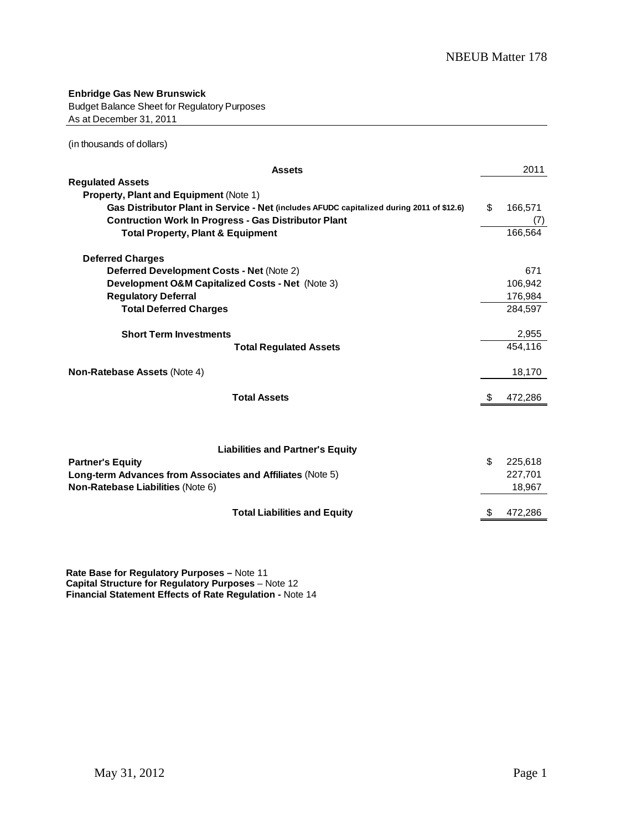**Enbridge Gas New Brunswick** Budget Balance Sheet for Regulatory Purposes As at December 31, 2011

(in thousands of dollars)

| <b>Assets</b>                                                                             |     | 2011    |
|-------------------------------------------------------------------------------------------|-----|---------|
| <b>Regulated Assets</b>                                                                   |     |         |
| Property, Plant and Equipment (Note 1)                                                    |     |         |
| Gas Distributor Plant in Service - Net (includes AFUDC capitalized during 2011 of \$12.6) | \$  | 166,571 |
| <b>Contruction Work In Progress - Gas Distributor Plant</b>                               |     |         |
| <b>Total Property, Plant &amp; Equipment</b>                                              |     | 166.564 |
| <b>Deferred Charges</b>                                                                   |     |         |
| <b>Deferred Development Costs - Net (Note 2)</b>                                          |     | 671     |
| Development O&M Capitalized Costs - Net (Note 3)                                          |     | 106.942 |
| <b>Regulatory Deferral</b>                                                                |     | 176,984 |
| <b>Total Deferred Charges</b>                                                             |     | 284,597 |
| <b>Short Term Investments</b>                                                             |     | 2,955   |
| <b>Total Regulated Assets</b>                                                             |     | 454,116 |
| <b>Non-Ratebase Assets (Note 4)</b>                                                       |     | 18,170  |
| <b>Total Assets</b>                                                                       | \$. | 472,286 |
| <b>Liabilities and Partner's Equity</b>                                                   |     |         |
| <b>Partner's Equity</b>                                                                   | \$  | 225,618 |
| Long-term Advances from Associates and Affiliates (Note 5)                                |     | 227,701 |
| <b>Non-Ratebase Liabilities (Note 6)</b>                                                  |     | 18,967  |
| <b>Total Liabilities and Equity</b>                                                       |     | 472,286 |

**ate Base for Regulatory Purposes –** Note 11 te 12 14 **R Capital Structure for Regulatory Purposes** – No **Financial Statement Effects of Rate Regulation -** Note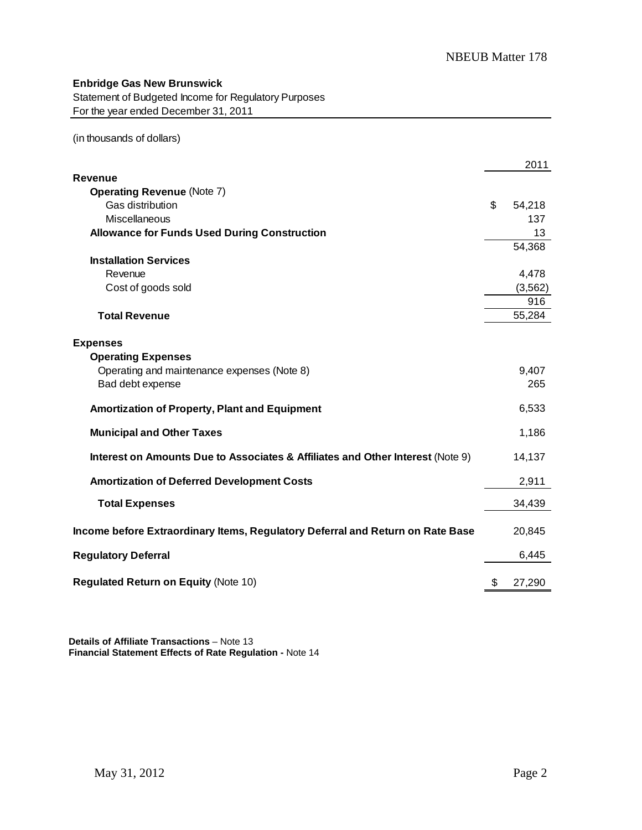### **Enbridge Gas New Brunswick**

Statement of Budgeted Income for Regulatory Purposes For the year ended December 31, 2011

(in thousands of dollars)

|                                                                                | 2011         |
|--------------------------------------------------------------------------------|--------------|
| <b>Revenue</b>                                                                 |              |
| <b>Operating Revenue (Note 7)</b>                                              |              |
| Gas distribution                                                               | \$<br>54,218 |
| Miscellaneous                                                                  | 137          |
| <b>Allowance for Funds Used During Construction</b>                            | 13           |
|                                                                                | 54,368       |
| <b>Installation Services</b>                                                   |              |
| Revenue                                                                        | 4,478        |
| Cost of goods sold                                                             | (3, 562)     |
|                                                                                | 916          |
| <b>Total Revenue</b>                                                           | 55,284       |
|                                                                                |              |
| <b>Expenses</b>                                                                |              |
| <b>Operating Expenses</b>                                                      |              |
| Operating and maintenance expenses (Note 8)                                    | 9,407        |
| Bad debt expense                                                               | 265          |
| Amortization of Property, Plant and Equipment                                  | 6,533        |
| <b>Municipal and Other Taxes</b>                                               | 1,186        |
| Interest on Amounts Due to Associates & Affiliates and Other Interest (Note 9) | 14,137       |
| <b>Amortization of Deferred Development Costs</b>                              | 2,911        |
| <b>Total Expenses</b>                                                          | 34,439       |
| Income before Extraordinary Items, Regulatory Deferral and Return on Rate Base | 20,845       |
| <b>Regulatory Deferral</b>                                                     | 6,445        |
| <b>Regulated Return on Equity (Note 10)</b>                                    | \$<br>27,290 |

 **Details of Affiliate Transactions** – Note 13  **Financial Statement Effects of Rate Regulation -** Note 14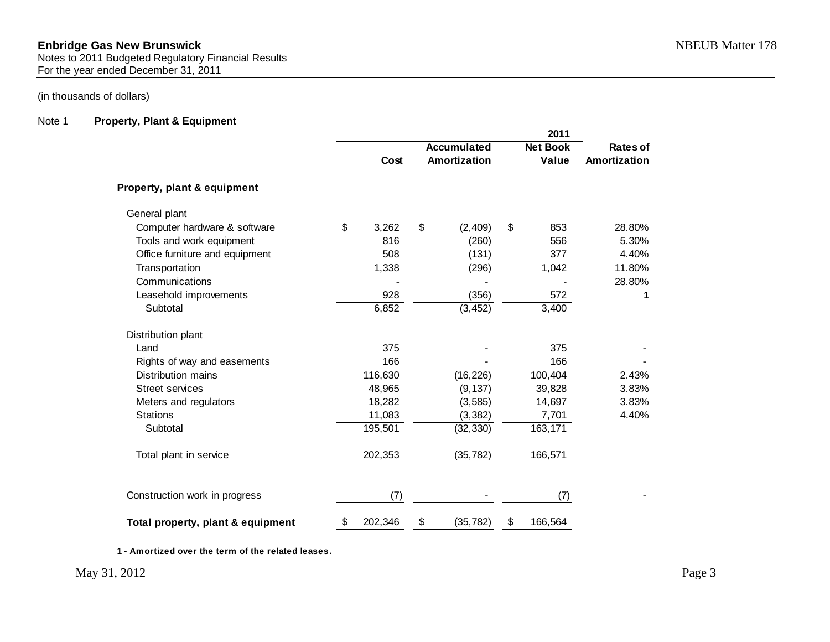Notes to 2011 Budgeted Regulatory Financial Results For the year ended December 31, 2011

### (in thousands of dollars)

### Note 1 **Property, Plant & Equipment**

|                                   |               |    |                    | 2011            |              |
|-----------------------------------|---------------|----|--------------------|-----------------|--------------|
|                                   |               |    | <b>Accumulated</b> | <b>Net Book</b> | Rates of     |
|                                   | Cost          |    | Amortization       | Value           | Amortization |
| Property, plant & equipment       |               |    |                    |                 |              |
| General plant                     |               |    |                    |                 |              |
| Computer hardware & software      | \$<br>3,262   | \$ | (2,409)            | \$<br>853       | 28.80%       |
| Tools and work equipment          | 816           |    | (260)              | 556             | 5.30%        |
| Office furniture and equipment    | 508           |    | (131)              | 377             | 4.40%        |
| Transportation                    | 1,338         |    | (296)              | 1,042           | 11.80%       |
| Communications                    |               |    |                    |                 | 28.80%       |
| Leasehold improvements            | 928           |    | (356)              | 572             | 1            |
| Subtotal                          | 6,852         |    | (3, 452)           | 3,400           |              |
| Distribution plant                |               |    |                    |                 |              |
| Land                              | 375           |    |                    | 375             |              |
| Rights of way and easements       | 166           |    |                    | 166             |              |
| Distribution mains                | 116,630       |    | (16, 226)          | 100,404         | 2.43%        |
| <b>Street services</b>            | 48,965        |    | (9, 137)           | 39,828          | 3.83%        |
| Meters and regulators             | 18,282        |    | (3, 585)           | 14,697          | 3.83%        |
| <b>Stations</b>                   | 11,083        |    | (3, 382)           | 7,701           | 4.40%        |
| Subtotal                          | 195,501       |    | (32, 330)          | 163,171         |              |
| Total plant in service            | 202,353       |    | (35, 782)          | 166,571         |              |
| Construction work in progress     | (7)           |    |                    | (7)             |              |
| Total property, plant & equipment | \$<br>202,346 | \$ | (35, 782)          | \$<br>166,564   |              |

**1 - Amortized over the term of the related leases.**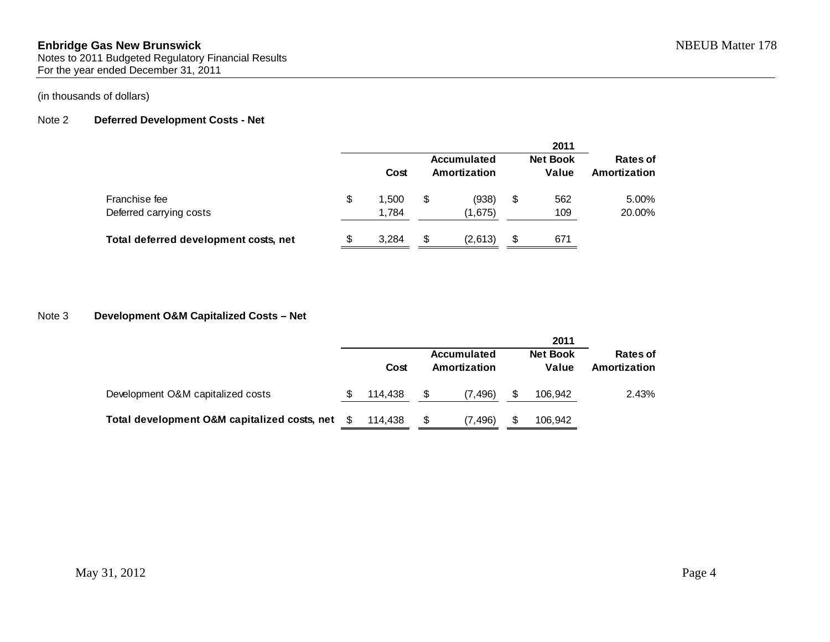Notes to 2011 Budgeted Regulatory Financial Results For the year ended December 31, 2011

### (in thousands of dollars)

### Note 2 **Deferred Development Costs - Net**

|                                          |     |                |    |                             |    | 2011                     |                          |
|------------------------------------------|-----|----------------|----|-----------------------------|----|--------------------------|--------------------------|
|                                          |     | Cost           |    | Accumulated<br>Amortization |    | <b>Net Book</b><br>Value | Rates of<br>Amortization |
| Franchise fee<br>Deferred carrying costs | S   | 1.500<br>1.784 | S  | (938)<br>(1,675)            | \$ | 562<br>109               | 5.00%<br>20.00%          |
| Total deferred development costs, net    | \$. | 3.284          | \$ | (2,613)                     | S  | 671                      |                          |

### Note 3 **Development O&M Capitalized Costs – Net**

|                                              |         |                             | 2011                     |                          |
|----------------------------------------------|---------|-----------------------------|--------------------------|--------------------------|
|                                              | Cost    | Accumulated<br>Amortization | <b>Net Book</b><br>Value | Rates of<br>Amortization |
| Development O&M capitalized costs            | 114.438 | (7.496)                     | 106.942                  | 2.43%                    |
| Total development O&M capitalized costs, net | 114.438 | (7, 496)                    | 106.942                  |                          |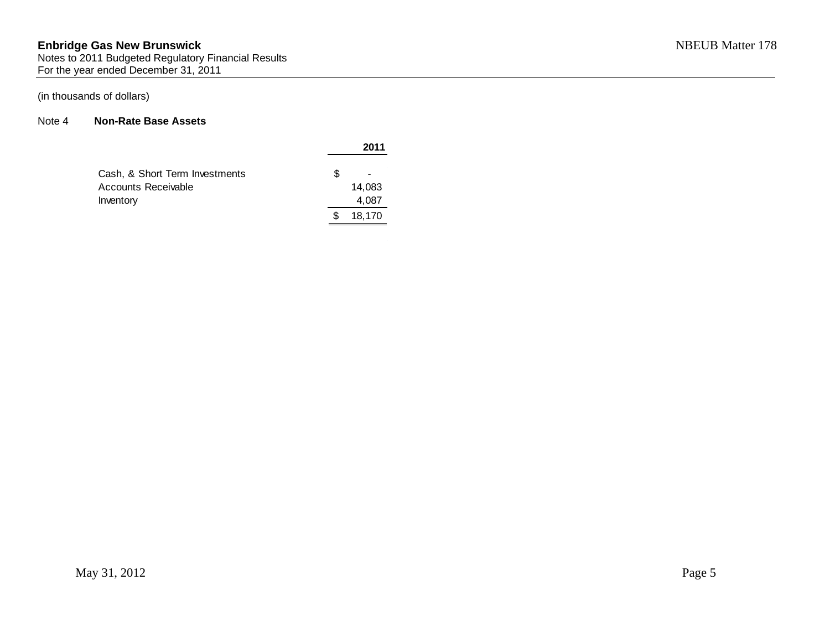#### **Enbridge Gas New Brunswick** NBEUB Matter 178 Notes to 2011 Budgeted Regulatory Financial Results For the year ended December 31, 2011

### (in thousands of dollars)

### Note 4 **Non-Rate Base Assets**

|                                |   | 2011   |
|--------------------------------|---|--------|
| Cash, & Short Term Investments | S |        |
| Accounts Receivable            |   | 14.083 |
| Inventory                      |   | 4,087  |
|                                |   | 18,170 |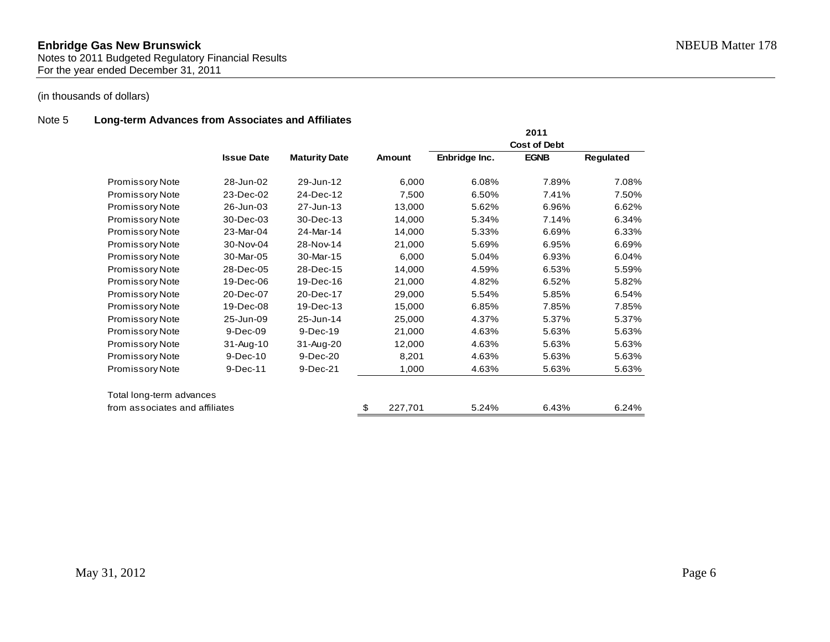### Note 5 **Long-term Advances from Associates and Affiliates**

|                                |                   |                      |               |               | 2011                |           |
|--------------------------------|-------------------|----------------------|---------------|---------------|---------------------|-----------|
|                                |                   |                      |               |               | <b>Cost of Debt</b> |           |
|                                | <b>Issue Date</b> | <b>Maturity Date</b> | Amount        | Enbridge Inc. | <b>EGNB</b>         | Regulated |
| <b>Promissory Note</b>         | 28-Jun-02         | 29-Jun-12            | 6,000         | 6.08%         | 7.89%               | 7.08%     |
| <b>Promissory Note</b>         | 23-Dec-02         | 24-Dec-12            | 7,500         | 6.50%         | 7.41%               | 7.50%     |
| <b>Promissory Note</b>         | 26-Jun-03         | 27-Jun-13            | 13,000        | 5.62%         | 6.96%               | 6.62%     |
| <b>Promissory Note</b>         | 30-Dec-03         | 30-Dec-13            | 14,000        | 5.34%         | 7.14%               | 6.34%     |
| Promissory Note                | 23-Mar-04         | 24-Mar-14            | 14,000        | 5.33%         | 6.69%               | 6.33%     |
| <b>Promissory Note</b>         | 30-Nov-04         | 28-Nov-14            | 21,000        | 5.69%         | 6.95%               | 6.69%     |
| <b>Promissory Note</b>         | 30-Mar-05         | 30-Mar-15            | 6,000         | 5.04%         | 6.93%               | 6.04%     |
| <b>Promissory Note</b>         | 28-Dec-05         | 28-Dec-15            | 14,000        | 4.59%         | 6.53%               | 5.59%     |
| <b>Promissory Note</b>         | 19-Dec-06         | 19-Dec-16            | 21,000        | 4.82%         | 6.52%               | 5.82%     |
| <b>Promissory Note</b>         | 20-Dec-07         | 20-Dec-17            | 29,000        | 5.54%         | 5.85%               | 6.54%     |
| <b>Promissory Note</b>         | 19-Dec-08         | 19-Dec-13            | 15,000        | 6.85%         | 7.85%               | 7.85%     |
| Promissory Note                | 25-Jun-09         | 25-Jun-14            | 25,000        | 4.37%         | 5.37%               | 5.37%     |
| Promissory Note                | 9-Dec-09          | 9-Dec-19             | 21,000        | 4.63%         | 5.63%               | 5.63%     |
| <b>Promissory Note</b>         | 31-Aug-10         | 31-Aug-20            | 12,000        | 4.63%         | 5.63%               | 5.63%     |
| <b>Promissory Note</b>         | 9-Dec-10          | 9-Dec-20             | 8,201         | 4.63%         | 5.63%               | 5.63%     |
| <b>Promissory Note</b>         | 9-Dec-11          | 9-Dec-21             | 1,000         | 4.63%         | 5.63%               | 5.63%     |
| Total long-term advances       |                   |                      |               |               |                     |           |
| from associates and affiliates |                   |                      | \$<br>227,701 | 5.24%         | 6.43%               | 6.24%     |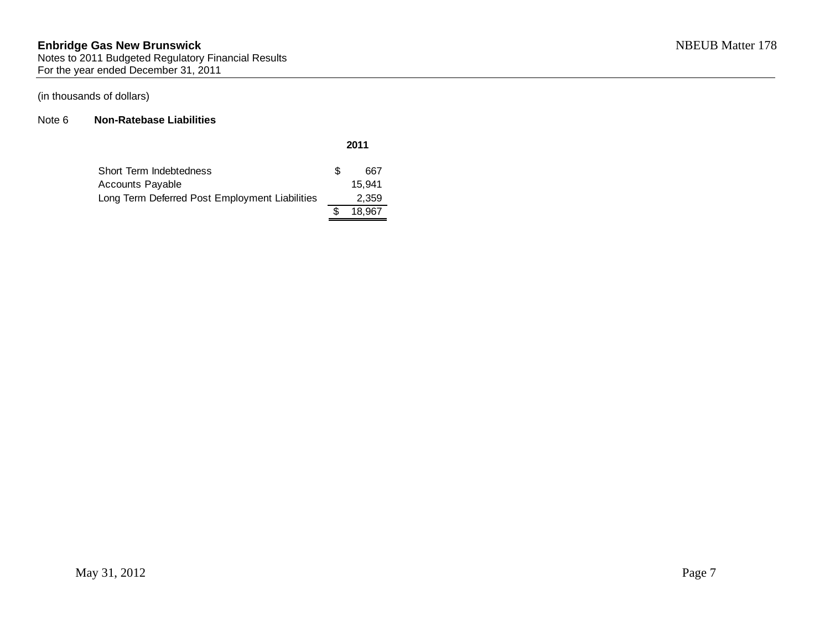#### Note 6 **Non-Ratebase Liabilities**

| Short Term Indebtedness                        | £. | 667    |
|------------------------------------------------|----|--------|
| <b>Accounts Payable</b>                        |    | 15.941 |
| Long Term Deferred Post Employment Liabilities |    | 2,359  |
|                                                |    | 18.967 |

**2011**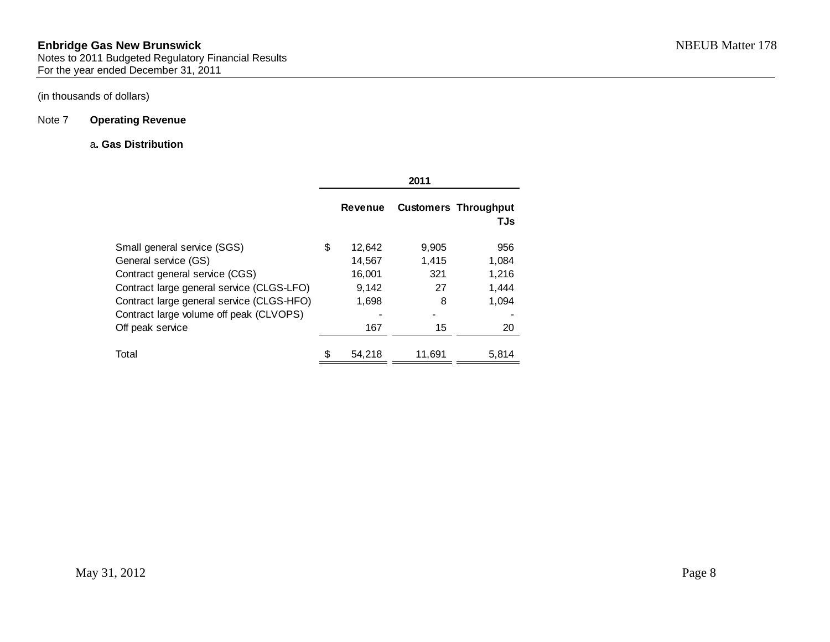### Note 7 **Operating Revenue**

#### a**. Gas Distribution**

|                                                                                        |                  | 2011         |                                    |
|----------------------------------------------------------------------------------------|------------------|--------------|------------------------------------|
|                                                                                        | <b>Revenue</b>   |              | <b>Customers Throughput</b><br>TJs |
| Small general service (SGS)                                                            | \$<br>12,642     | 9,905        | 956                                |
| General service (GS)<br>Contract general service (CGS)                                 | 14,567<br>16,001 | 1.415<br>321 | 1,084<br>1,216                     |
| Contract large general service (CLGS-LFO)<br>Contract large general service (CLGS-HFO) | 9,142<br>1,698   | 27<br>8      | 1,444<br>1,094                     |
| Contract large volume off peak (CLVOPS)<br>Off peak service                            | 167              | 15           | 20                                 |
| Total                                                                                  | \$<br>54,218     | 11,691       | 5,814                              |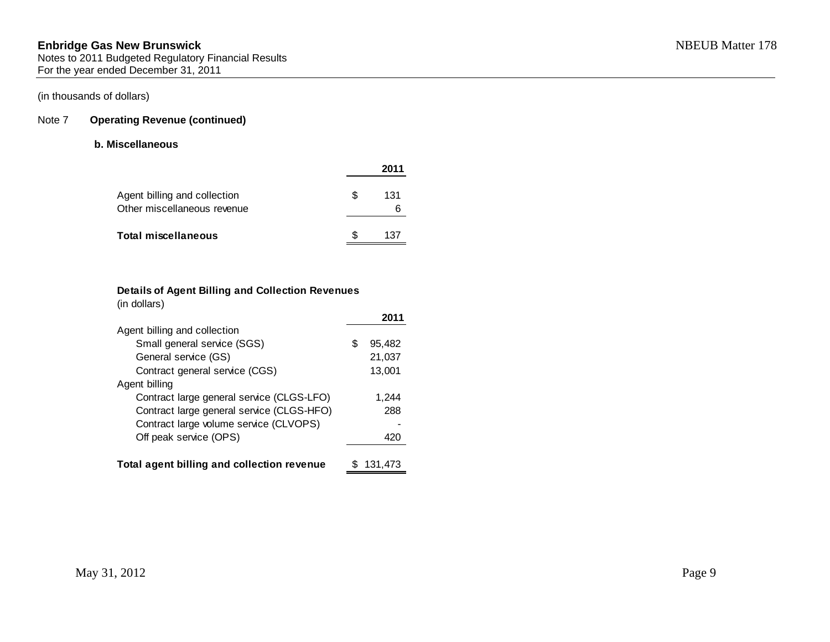### Note 7 **Operating Revenue (continued)**

#### **b. Miscellaneous**

|                                                             |     | 2011      |
|-------------------------------------------------------------|-----|-----------|
| Agent billing and collection<br>Other miscellaneous revenue | \$. | 131<br>ิค |
| Total miscellaneous                                         | ß.  | 137       |

### **Details of Agent Billing and Collection Revenues**

|  | (in dollars) |  |
|--|--------------|--|
|  |              |  |

| Agent billing and collection               |   |         |
|--------------------------------------------|---|---------|
| Small general service (SGS)                | S | 95,482  |
| General service (GS)                       |   | 21,037  |
| Contract general service (CGS)             |   | 13,001  |
| Agent billing                              |   |         |
| Contract large general service (CLGS-LFO)  |   | 1,244   |
| Contract large general service (CLGS-HFO)  |   | 288     |
| Contract large volume service (CLVOPS)     |   |         |
| Off peak service (OPS)                     |   | 420     |
|                                            |   |         |
| Total agent billing and collection revenue |   | 131.473 |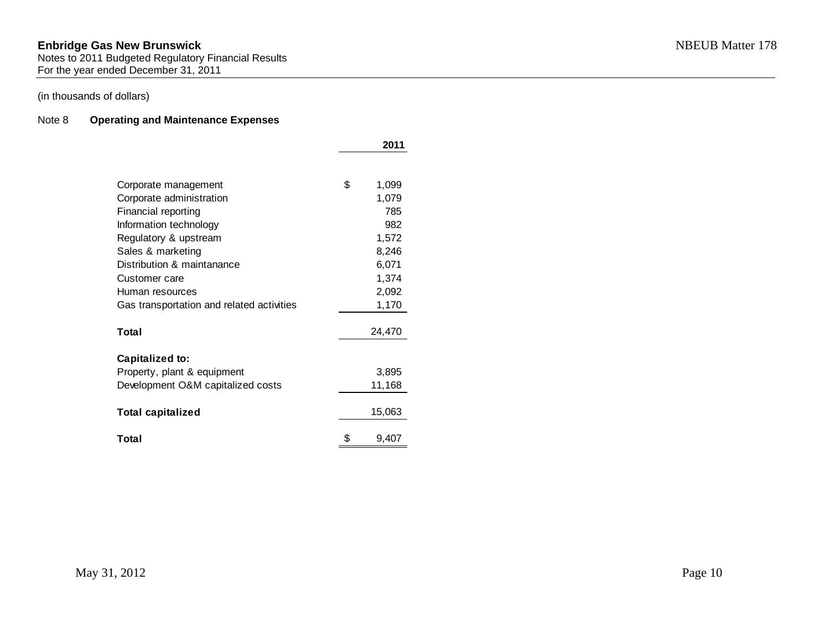Notes to 2011 Budgeted Regulatory Financial Results For the year ended December 31, 2011

### (in thousands of dollars)

### Note 8 **Operating and Maintenance Expenses**

|                                           | 2011        |
|-------------------------------------------|-------------|
|                                           |             |
| Corporate management                      | \$<br>1,099 |
| Corporate administration                  | 1,079       |
| Financial reporting                       | 785         |
| Information technology                    | 982         |
| Regulatory & upstream                     | 1,572       |
| Sales & marketing                         | 8,246       |
| Distribution & maintanance                | 6,071       |
| Customer care                             | 1,374       |
| Human resources                           | 2,092       |
| Gas transportation and related activities | 1,170       |
|                                           |             |
| Total                                     | 24,470      |
| <b>Capitalized to:</b>                    |             |
| Property, plant & equipment               | 3,895       |
| Development O&M capitalized costs         | 11,168      |
|                                           |             |
| <b>Total capitalized</b>                  | 15,063      |
| Total                                     | \$<br>9,407 |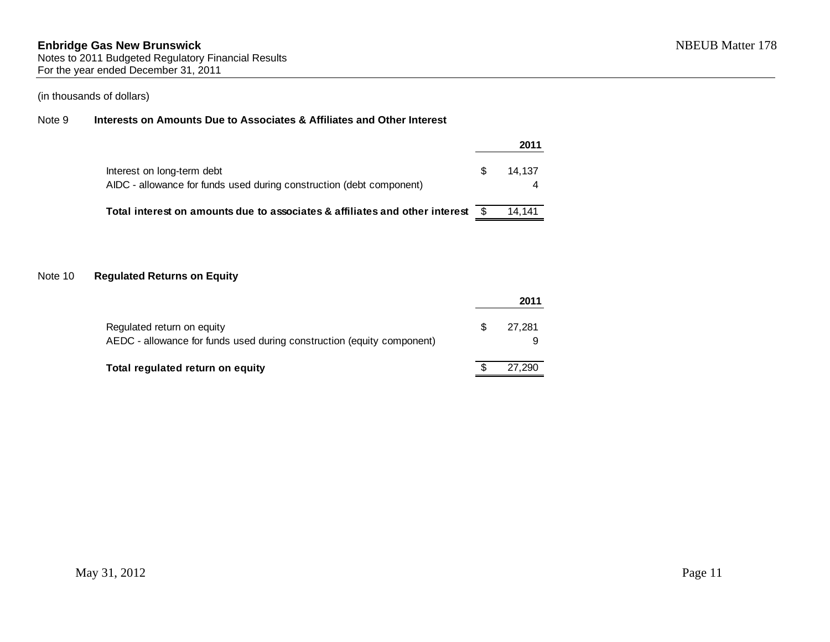# Note 9 **Interests on Amounts Due to Associates & Affiliates and Other Interest**

|                                                                                                    |     | 2011   |
|----------------------------------------------------------------------------------------------------|-----|--------|
| Interest on long-term debt<br>AIDC - allowance for funds used during construction (debt component) | \$. | 14.137 |
| Total interest on amounts due to associates & affiliates and other interest                        |     | 14.141 |

## Note 10 **Regulated Returns on Equity**

|                                                                                                      |   | 2011   |
|------------------------------------------------------------------------------------------------------|---|--------|
| Regulated return on equity<br>AEDC - allowance for funds used during construction (equity component) | S | 27.281 |
| Total regulated return on equity                                                                     |   | 27.290 |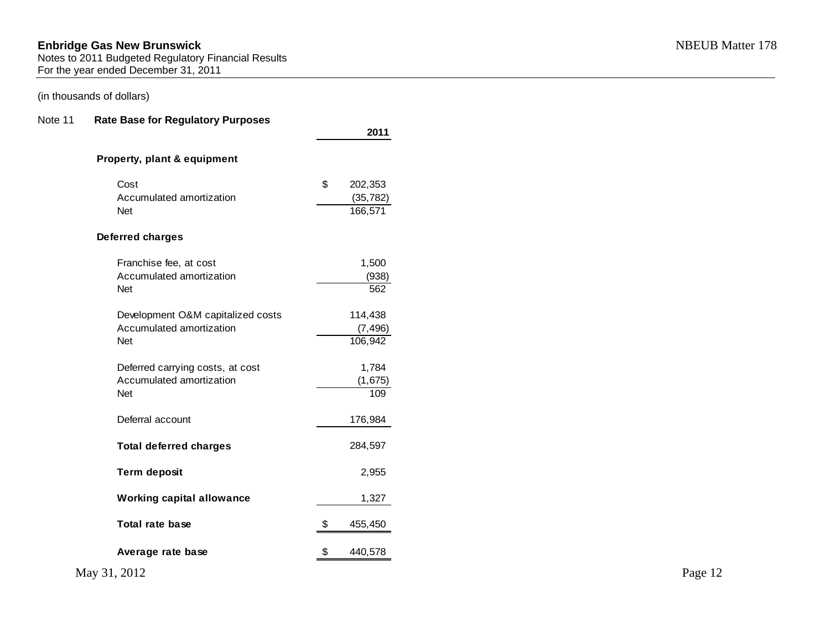### (in thousands of dollars)

### Note 11 **Rate Base for Regulatory Purposes**

| Cost                              | \$<br>202,353 |  |  |  |
|-----------------------------------|---------------|--|--|--|
| Accumulated amortization          | (35, 782)     |  |  |  |
| Net                               | 166,571       |  |  |  |
| <b>Deferred charges</b>           |               |  |  |  |
| Franchise fee, at cost            | 1,500         |  |  |  |
| Accumulated amortization          | (938)         |  |  |  |
| Net                               | 562           |  |  |  |
| Development O&M capitalized costs | 114,438       |  |  |  |
| Accumulated amortization          | (7, 496)      |  |  |  |
| Net                               | 106,942       |  |  |  |
| Deferred carrying costs, at cost  | 1,784         |  |  |  |
| Accumulated amortization          | (1,675)       |  |  |  |
| Net                               | 109           |  |  |  |
| Deferral account                  | 176,984       |  |  |  |
| <b>Total deferred charges</b>     | 284,597       |  |  |  |
| <b>Term deposit</b>               | 2,955         |  |  |  |
| <b>Working capital allowance</b>  | 1,327         |  |  |  |
| <b>Total rate base</b>            | \$<br>455,450 |  |  |  |
| Average rate base                 | \$<br>440,578 |  |  |  |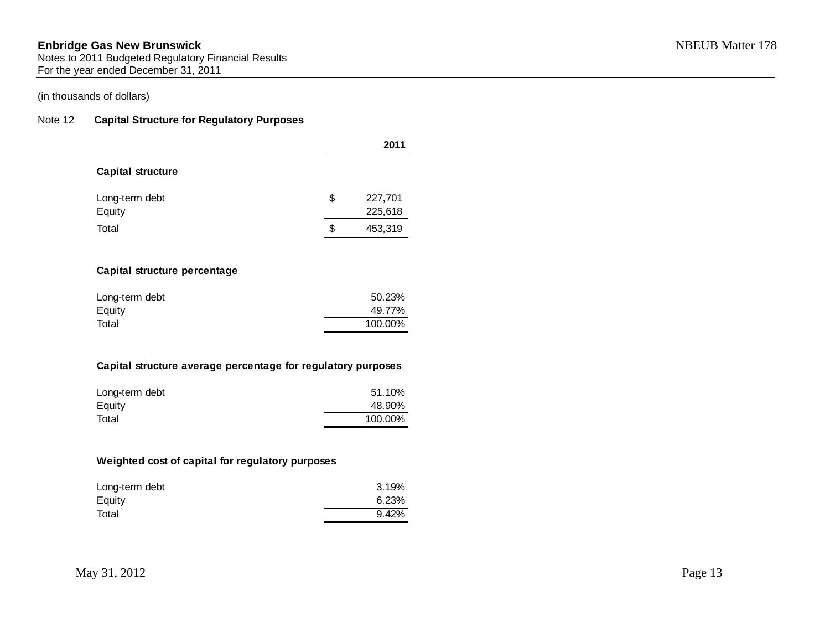Notes to 2011 Budgeted Regulatory Financial Results For the year ended December 31, 2011

### (in thousands of dollars)

### Note 12 **Capital Structure for Regulatory Purposes**

|                          |    | 2011    |
|--------------------------|----|---------|
| <b>Capital structure</b> |    |         |
| Long-term debt           | \$ | 227,701 |
| Equity                   |    | 225,618 |
| Total                    | S  | 453,319 |
|                          |    |         |

### **Capital structure percentage**

| Long-term debt | 50.23%  |
|----------------|---------|
| Equity         | 49.77%  |
| Total          | 100.00% |

### **Capital structure average percentage for regulatory purposes**

| Long-term debt | 51.10%  |
|----------------|---------|
| Equity         | 48.90%  |
| Total          | 100.00% |

### **Weighted cost of capital for regulatory purposes**

| Long-term debt | 3.19% |
|----------------|-------|
| Equity         | 6.23% |
| Total          | 9.42% |
|                |       |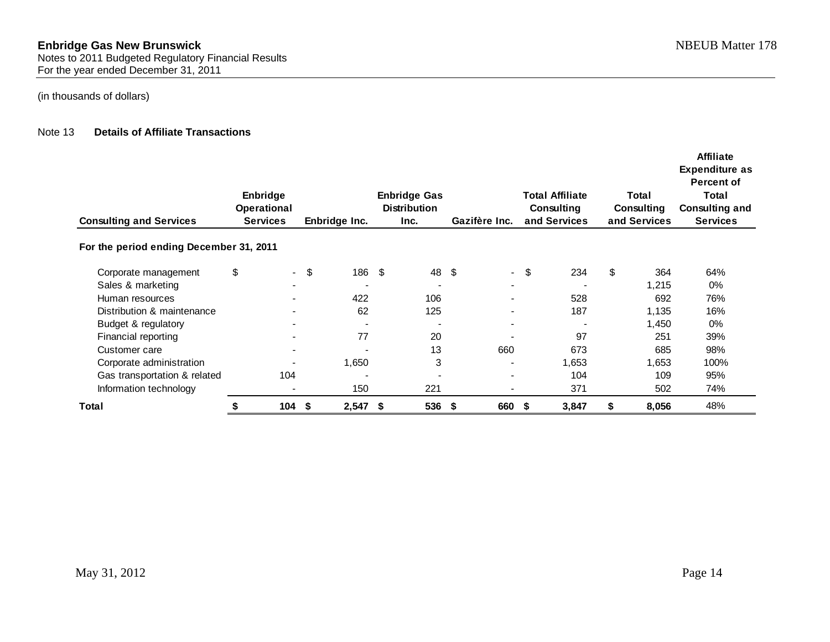#### Note 13 **Details of Affiliate Transactions**

| <b>Consulting and Services</b>          | Enbridge<br><b>Operational</b><br><b>Services</b> |                          | <b>Enbridge Gas</b><br><b>Distribution</b><br>Enbridge Inc.<br>Inc. |       |      |     | <b>Total Affiliate</b><br>Total<br>Consulting<br>Gazifère Inc.<br>and Services |                          | <b>Affiliate</b><br><b>Expenditure as</b><br><b>Percent of</b><br>Total<br><b>Consulting and</b><br>Consulting<br>and Services<br><b>Services</b> |       |    |       |       |
|-----------------------------------------|---------------------------------------------------|--------------------------|---------------------------------------------------------------------|-------|------|-----|--------------------------------------------------------------------------------|--------------------------|---------------------------------------------------------------------------------------------------------------------------------------------------|-------|----|-------|-------|
| For the period ending December 31, 2011 |                                                   |                          |                                                                     |       |      |     |                                                                                |                          |                                                                                                                                                   |       |    |       |       |
| Corporate management                    | \$                                                |                          | $-$ \$                                                              | 186   | - \$ | 48  | -\$                                                                            | $\sim$                   | \$                                                                                                                                                | 234   | \$ | 364   | 64%   |
| Sales & marketing                       |                                                   |                          |                                                                     |       |      |     |                                                                                |                          |                                                                                                                                                   |       |    | 1,215 | $0\%$ |
| Human resources                         |                                                   | $\overline{\phantom{a}}$ |                                                                     | 422   |      | 106 |                                                                                | $\blacksquare$           |                                                                                                                                                   | 528   |    | 692   | 76%   |
| Distribution & maintenance              |                                                   |                          |                                                                     | 62    |      | 125 |                                                                                | $\overline{\phantom{0}}$ |                                                                                                                                                   | 187   |    | 1,135 | 16%   |
| Budget & regulatory                     |                                                   |                          |                                                                     |       |      |     |                                                                                | $\blacksquare$           |                                                                                                                                                   |       |    | 1,450 | $0\%$ |
| Financial reporting                     |                                                   | $\overline{\phantom{a}}$ |                                                                     | 77    |      | 20  |                                                                                |                          |                                                                                                                                                   | 97    |    | 251   | 39%   |
| Customer care                           |                                                   | $\blacksquare$           |                                                                     |       |      | 13  |                                                                                | 660                      |                                                                                                                                                   | 673   |    | 685   | 98%   |
| Corporate administration                |                                                   |                          |                                                                     | 1,650 |      | 3   |                                                                                |                          |                                                                                                                                                   | 1,653 |    | 1,653 | 100%  |
| Gas transportation & related            |                                                   | 104                      |                                                                     |       |      |     |                                                                                | -                        |                                                                                                                                                   | 104   |    | 109   | 95%   |
| Information technology                  |                                                   | $\overline{\phantom{a}}$ |                                                                     | 150   |      | 221 |                                                                                | $\overline{\phantom{a}}$ |                                                                                                                                                   | 371   |    | 502   | 74%   |
| Total                                   |                                                   | 104                      | - \$                                                                | 2,547 | -\$  | 536 | \$                                                                             | 660                      | \$                                                                                                                                                | 3,847 | S  | 8,056 | 48%   |